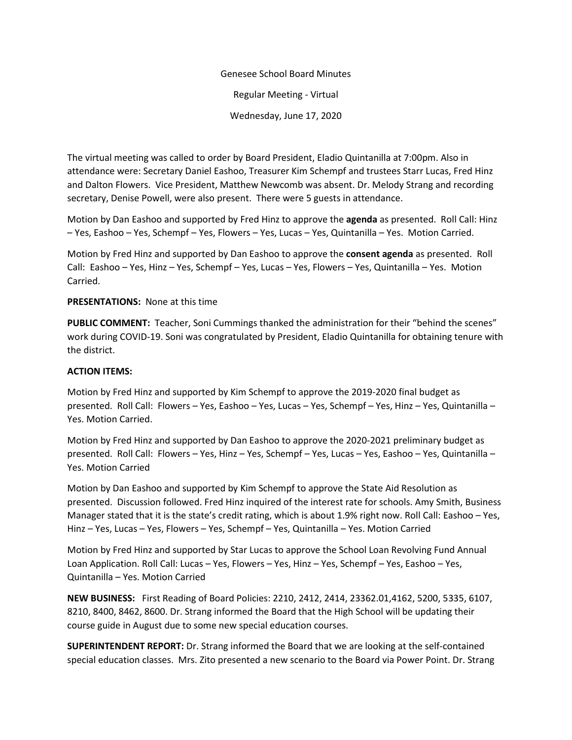Genesee School Board Minutes Regular Meeting - Virtual Wednesday, June 17, 2020

The virtual meeting was called to order by Board President, Eladio Quintanilla at 7:00pm. Also in attendance were: Secretary Daniel Eashoo, Treasurer Kim Schempf and trustees Starr Lucas, Fred Hinz and Dalton Flowers. Vice President, Matthew Newcomb was absent. Dr. Melody Strang and recording secretary, Denise Powell, were also present. There were 5 guests in attendance.

Motion by Dan Eashoo and supported by Fred Hinz to approve the **agenda** as presented. Roll Call: Hinz – Yes, Eashoo – Yes, Schempf – Yes, Flowers – Yes, Lucas – Yes, Quintanilla – Yes. Motion Carried.

Motion by Fred Hinz and supported by Dan Eashoo to approve the **consent agenda** as presented. Roll Call: Eashoo – Yes, Hinz – Yes, Schempf – Yes, Lucas – Yes, Flowers – Yes, Quintanilla – Yes. Motion Carried.

## **PRESENTATIONS:** None at this time

**PUBLIC COMMENT:** Teacher, Soni Cummings thanked the administration for their "behind the scenes" work during COVID-19. Soni was congratulated by President, Eladio Quintanilla for obtaining tenure with the district.

## **ACTION ITEMS:**

Motion by Fred Hinz and supported by Kim Schempf to approve the 2019-2020 final budget as presented. Roll Call: Flowers – Yes, Eashoo – Yes, Lucas – Yes, Schempf – Yes, Hinz – Yes, Quintanilla – Yes. Motion Carried.

Motion by Fred Hinz and supported by Dan Eashoo to approve the 2020-2021 preliminary budget as presented. Roll Call: Flowers – Yes, Hinz – Yes, Schempf – Yes, Lucas – Yes, Eashoo – Yes, Quintanilla – Yes. Motion Carried

Motion by Dan Eashoo and supported by Kim Schempf to approve the State Aid Resolution as presented. Discussion followed. Fred Hinz inquired of the interest rate for schools. Amy Smith, Business Manager stated that it is the state's credit rating, which is about 1.9% right now. Roll Call: Eashoo – Yes, Hinz – Yes, Lucas – Yes, Flowers – Yes, Schempf – Yes, Quintanilla – Yes. Motion Carried

Motion by Fred Hinz and supported by Star Lucas to approve the School Loan Revolving Fund Annual Loan Application. Roll Call: Lucas – Yes, Flowers – Yes, Hinz – Yes, Schempf – Yes, Eashoo – Yes, Quintanilla – Yes. Motion Carried

**NEW BUSINESS:** First Reading of Board Policies: 2210, 2412, 2414, 23362.01,4162, 5200, 5335, 6107, 8210, 8400, 8462, 8600. Dr. Strang informed the Board that the High School will be updating their course guide in August due to some new special education courses.

**SUPERINTENDENT REPORT:** Dr. Strang informed the Board that we are looking at the self-contained special education classes. Mrs. Zito presented a new scenario to the Board via Power Point. Dr. Strang